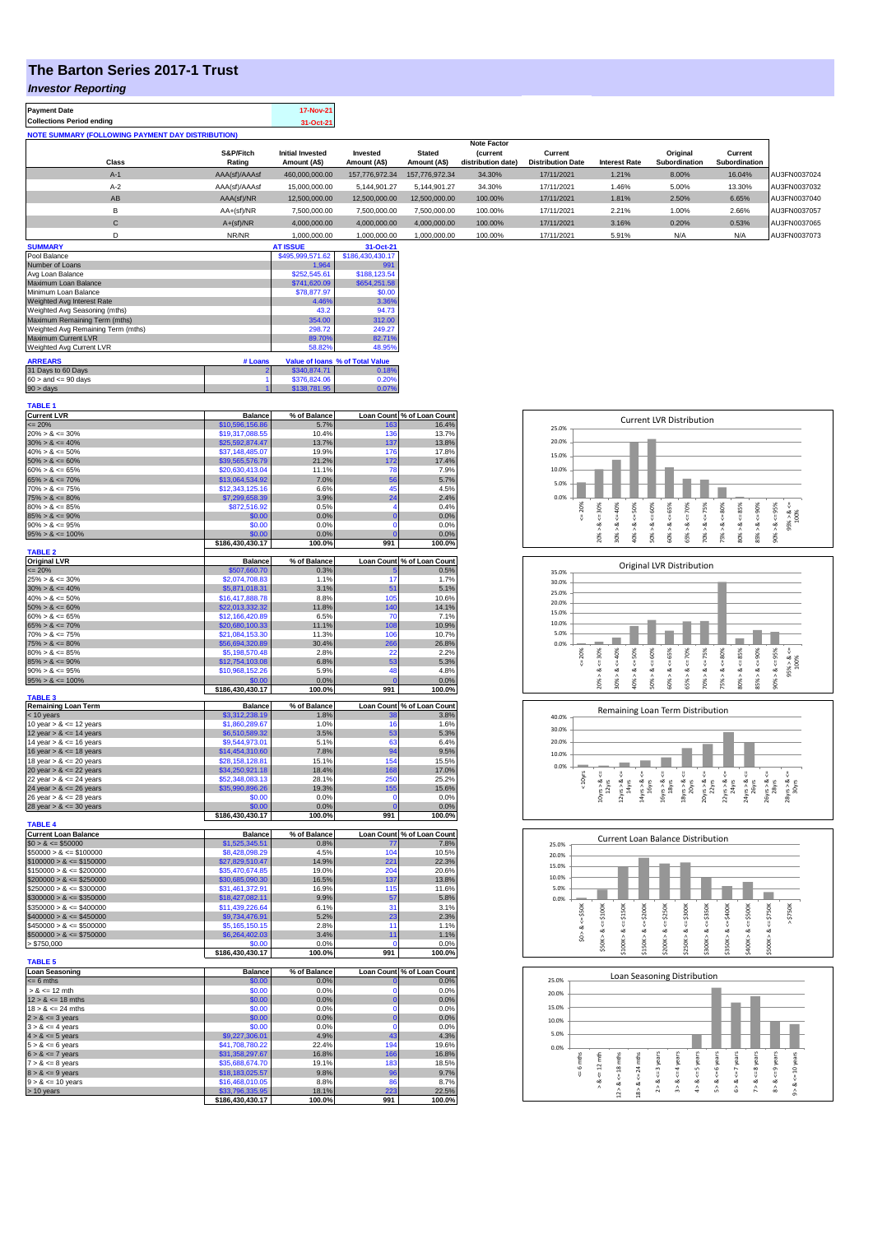## **The Barton Series 2017-1 Trust**

## *Investor Reporting*

| <b>Payment Date</b>                                      | 17-Nov-21 |
|----------------------------------------------------------|-----------|
| <b>Collections Period ending</b>                         | 31-Oct-21 |
| <b>NOTE SUMMARY (FOLLOWING PAYMENT DAY DISTRIBUTION)</b> |           |
|                                                          |           |

|              |               |                         |                      |                | <b>Note Factor</b> |                          |                      |               |               |              |
|--------------|---------------|-------------------------|----------------------|----------------|--------------------|--------------------------|----------------------|---------------|---------------|--------------|
|              | S&P/Fitch     | <b>Initial Invested</b> | Invested             | <b>Stated</b>  | <b>Current</b>     | Current                  |                      | Original      | Current       |              |
| <b>Class</b> | Rating        | Amount (A\$)            | Amount (A\$)         | Amount (A\$)   | distribution date) | <b>Distribution Date</b> | <b>Interest Rate</b> | Subordination | Subordination |              |
| $A-1$        | AAA(sf)/AAAsf | 460,000,000.00          | 157.776.972.34       | 157.776.972.34 | 34.30%             | 17/11/2021               | 1.21%                | 8.00%         | 16.04%        | AU3FN0037024 |
| $A-2$        | AAA(sf)/AAAsf | 15,000,000,00           | 5.144.901.27         | 5.144.901.27   | 34.30%             | 17/11/2021               | 1.46%                | 5.00%         | 13.30%        | AU3FN0037032 |
| AB           | AAA(sf)/NR    | 12,500,000.00           | 12.500.000.00        | 12,500,000.00  | 100.00%            | 17/11/2021               | 1.81%                | 2.50%         | 6.65%         | AU3FN0037040 |
| в            | $AA+(sf)/NR$  | 7.500.000.00            | 7.500.000.00         | 7.500.000.00   | 100.00%            | 17/11/2021               | 2.21%                | 1.00%         | 2.66%         | AU3FN0037057 |
| C            | $A+(sf)/NR$   | 4.000.000.00            | 4.000.000.00         | 4.000.000.00   | 100.00%            | 17/11/2021               | 3.16%                | 0.20%         | 0.53%         | AU3FN0037065 |
|              | NR/NR         | 1.000.000.00            | 1.000.000.00         | 1.000.000.00   | 100.00%            | 17/11/2021               | 5.91%                | N/A           | N/A           | AU3FN0037073 |
| A            |               | 17.0000000              | $\sim$ $\sim$ $\sim$ |                |                    |                          |                      |               |               |              |

| <b>SUMMARY</b>                     |         | <b>AT ISSUE</b>  | 31-Oct-21                       |
|------------------------------------|---------|------------------|---------------------------------|
| Pool Balance                       |         | \$495,999,571.62 | \$186,430,430.17                |
| Number of Loans                    |         | 1.964            | 991                             |
| Avg Loan Balance                   |         | \$252,545.61     | \$188,123,54                    |
| Maximum Loan Balance               |         | \$741,620.09     | \$654,251.58                    |
| Minimum Loan Balance               |         | \$78,877.97      | \$0.00                          |
| Weighted Avg Interest Rate         |         | 4.46%            | 3.36%                           |
| Weighted Avg Seasoning (mths)      |         | 43.2             | 94.73                           |
| Maximum Remaining Term (mths)      |         | 354.00           | 312.00                          |
| Weighted Avg Remaining Term (mths) |         | 298.72           | 249.27                          |
| <b>Maximum Current LVR</b>         |         | 89.70%           | 82.71%                          |
| Weighted Avg Current LVR           |         | 58.82%           | 48.95%                          |
| <b>ARREARS</b>                     | # Loans |                  | Value of Ioans % of Total Value |
| 31 Days to 60 Days                 |         | \$340.874.71     | 0.18%                           |
| $60 >$ and $\leq 90$ days          |         | \$376,824.06     | 0.20%                           |
| $90 >$ days                        |         | \$138,781.95     | 0.07%                           |

| <b>TABLE 1</b>                             |                                     |                 |                            |                            |
|--------------------------------------------|-------------------------------------|-----------------|----------------------------|----------------------------|
| <b>Current LVR</b>                         | <b>Balance</b>                      | % of Balance    |                            | Loan Count % of Loan Count |
| $= 20%$                                    | \$10,596,156.86                     | 5.7%            | 163                        | 16.4%                      |
| $20\% > 8 \le 30\%$                        | \$19,317,088.55                     | 10.4%           | 136                        | 13.7%                      |
| $30\% > 8 \le 40\%$                        | \$25,592,874.47                     | 13.7%           | 137                        | 13.8%                      |
| $40\% > 8 \le 50\%$                        | \$37,148,485.07                     | 19.9%           | 176                        | 17.8%<br>17.4%             |
| $50\% > 8 \le 60\%$<br>$60\% > 8 \le 65\%$ | \$39,565,576.79<br>\$20,630,413.04  | 21.2%<br>11.1%  | 172<br>78                  | 7.9%                       |
| $65\% > 8 \le 70\%$                        | \$13,064,534.92                     | 7.0%            | 56                         | 5.7%                       |
| $70\% > 8 \le 75\%$                        | \$12,343,125.16                     | 6.6%            | 45                         | 4.5%                       |
| $75\% > 8 \le 80\%$                        | \$7,299,658.39                      | 3.9%            | 24                         | 2.4%                       |
| $80\% > 8 \le 85\%$                        | \$872,516.92                        | 0.5%            | 4                          | 0.4%                       |
| $85\% > 8 \le 90\%$                        | \$0.00                              | 0.0%            | $\mathbf 0$                | 0.0%                       |
| $90\% > 8 \le 95\%$                        | \$0.00                              | 0.0%            | $\mathbf 0$                | 0.0%                       |
| $95\% > 8 \le 100\%$                       | \$0.00                              | 0.0%            | $\Omega$                   | 0.0%                       |
|                                            | \$186,430,430.17                    | 100.0%          | 991                        | 100.0%                     |
| <b>TABLE 2</b>                             |                                     |                 |                            |                            |
| <b>Original LVR</b>                        | <b>Balance</b>                      | % of Balance    |                            | Loan Count % of Loan Count |
| $= 20%$                                    | \$507,660.70                        | 0.3%            | 5                          | 0.5%                       |
| $25\% > 8 \le 30\%$                        | \$2,074,708.83                      | 1.1%            | 17                         | 1.7%                       |
| $30\% > 8 \le 40\%$                        | \$5,871,018.31                      | 3.1%            | 51                         | 5.1%                       |
| $40\% > 8 \le 50\%$                        | \$16,417,888.78                     | 8.8%            | 105                        | 10.6%                      |
| $50\% > 8 \le 60\%$                        | 22,013,332.32                       | 11.8%           | 140                        | 14.1%                      |
| $60\% > 8 \le 65\%$                        | \$12,166,420.89                     | 6.5%            | 70                         | 7.1%                       |
| $65\% > 8 \le 70\%$                        | \$20,680,100.33                     | 11.1%           | 108                        | 10.9%                      |
| $70\% > 8 \le 75\%$                        | \$21,084,153.30                     | 11.3%           | 106                        | 10.7%                      |
| $75\% > 8 \le 80\%$<br>$80\% > 8 \le 85\%$ | \$56,694,320.89<br>\$5.198.570.48   | 30.4%<br>2.8%   | 266<br>22                  | 26.8%<br>2.2%              |
| $85\% > 8 \le 90\%$                        | \$12,754,103.08                     | 6.8%            | 53                         | 5.3%                       |
| $90\% > 8 \le 95\%$                        | \$10,968,152.26                     | 5.9%            | 48                         | 4.8%                       |
| $95\% > 8 \le 100\%$                       | \$0.00                              | 0.0%            |                            | 0.0%                       |
|                                            | \$186,430,430.17                    | 100.0%          | 991                        | 100.0%                     |
| <b>TABLE 3</b>                             |                                     |                 |                            |                            |
| <b>Remaining Loan Term</b>                 | <b>Balance</b>                      | % of Balance    |                            | Loan Count % of Loan Count |
| < 10 years                                 | \$3,312,238.19                      | 1.8%            |                            | 3.8%                       |
| 10 year $> 8 \le 12$ years                 | \$1,860,289.67                      | 1.0%            | 16                         | 1.6%                       |
| 12 year $> 8 \le 14$ years                 | \$6,510,589.32                      | 3.5%            | 53                         | 5.3%                       |
| 14 year $> 8 \le 16$ years                 | \$9,544,973.01                      | 5.1%            | 63                         | 6.4%                       |
| 16 year $> 8 \le 18$ years                 | \$14,454,310.60                     | 7.8%            | 94                         | 9.5%                       |
| 18 year $> 8 \le 20$ years                 | \$28,158,128,81                     | 15.1%           | 154                        | 15.5%                      |
| 20 year $> 8 \le 22$ years                 | \$34.250.921.18                     | 18.4%           | 168                        | 17.0%                      |
| 22 year $> 8 \le 24$ years                 | \$52,348,083.13                     | 28.1%           | 250                        | 25.2%                      |
| 24 year $> 8 \le 26$ years                 | \$35,990,896.26                     | 19.3%           | 155                        | 15.6%                      |
| 26 year $> 8 \le 28$ years                 | \$0.00                              | 0.0%            | 0                          | 0.0%                       |
| 28 year $> 8 \le 30$ years                 | \$0.00                              | 0.0%            | $\mathbf 0$                | 0.0%<br>100.0%             |
| <b>TABLE 4</b>                             | \$186,430,430.17                    | 100.0%          | 991                        |                            |
| <b>Current Loan Balance</b>                | <b>Balance</b>                      | % of Balance    |                            | Loan Count % of Loan Count |
| $$0 > 8 \le $50000$                        | \$1,525,345.51                      | 0.8%            | 77                         | 7.8%                       |
| $$50000 > 8 \le $100000$                   | \$8,428,098.29                      | 4.5%            | 104                        | 10.5%                      |
| $$100000 > 8 \le $150000$                  | \$27,829,510.47                     | 14.9%           | 221                        | 22.3%                      |
| $$150000 > 8 \le $200000$                  | \$35,470,674.85                     | 19.0%           | 204                        | 20.6%                      |
| $$200000 > 8 \leq $250000$                 | \$30,685,090.30                     | 16.5%           | 137                        | 13.8%                      |
| $$250000 > 8 \le $300000$                  | \$31,461,372.91                     | 16.9%           | 115                        | 11.6%                      |
| $$300000 > 8 \le $350000$                  | \$18,427,082.11                     | 9.9%            | 57                         | 5.8%                       |
| $$350000 > 8 \le $400000$                  | \$11,439,226.64                     | 6.1%            | 31                         | 3.1%                       |
| $$400000 > 8 \le $450000$                  | \$9,734,476.91                      | 5.2%            | 23                         | 2.3%                       |
| $$450000 > 8 \leq $500000$                 | \$5.165.150.15                      | 2.8%            | 11                         | 1.1%                       |
| $$500000 > 8 \le $750000$                  | \$6,264,402.03                      | 3.4%            | 11                         | 1.1%                       |
| > \$750,000                                | \$0.00                              | 0.0%            | $\Omega$                   | 0.0%                       |
|                                            | \$186,430,430.17                    | 100.0%          | 991                        | 100.0%                     |
| <b>TABLE 5</b>                             |                                     |                 |                            |                            |
| <b>Loan Seasoning</b>                      | <b>Balance</b>                      | % of Balance    |                            | Loan Count % of Loan Count |
| $= 6$ mths                                 | \$0.00                              | 0.0%            | $\mathbf 0$<br>$\mathbf 0$ | 0.0%                       |
| $> 8 \le 12$ mth<br>$12 > 8 \le 18$ mths   | \$0.00<br>\$0.00                    | 0.0%<br>0.0%    | $\mathbf{0}$               | 0.0%<br>0.0%               |
| $18 > 8 \le 24$ mths                       | \$0.00                              | 0.0%            | $\Omega$                   | 0.0%                       |
| $2 > 8 \leq 3$ years                       | \$0.00                              | 0.0%            | $\mathbf{0}$               | 0.0%                       |
| $3 > 8 \le 4$ years                        | \$0.00                              | 0.0%            | $\mathbf 0$                | 0.0%                       |
| $4 > 8 \le 5$ years                        |                                     |                 | 43                         | 4.3%                       |
|                                            |                                     |                 |                            |                            |
|                                            | \$9,227,306.01                      | 4.9%            |                            |                            |
| $5 > 8 \le 6$ years                        | \$41,708,780.22                     | 22.4%           | 194                        | 19.6%                      |
| $6 > 8 \le 7$ years                        | \$31,358,297.67                     | 16.8%           | 166                        | 16.8%                      |
| $7 > 8 \le 8$ years                        | \$35,688,674.70<br>\$18,183,025.57  | 19.1%<br>9.8%   | 183<br>96                  | 18.5%<br>9.7%              |
| $8 > 8 \le 9$ years                        | \$16,468,010.05                     | 8.8%            | 86                         | 8.7%                       |
| $9 > 8 \le 10$ years<br>> 10 years         | \$33,796,335.95<br>\$186,430,430.17 | 18.1%<br>100.0% | 223<br>991                 | 22.5%<br>100.0%            |





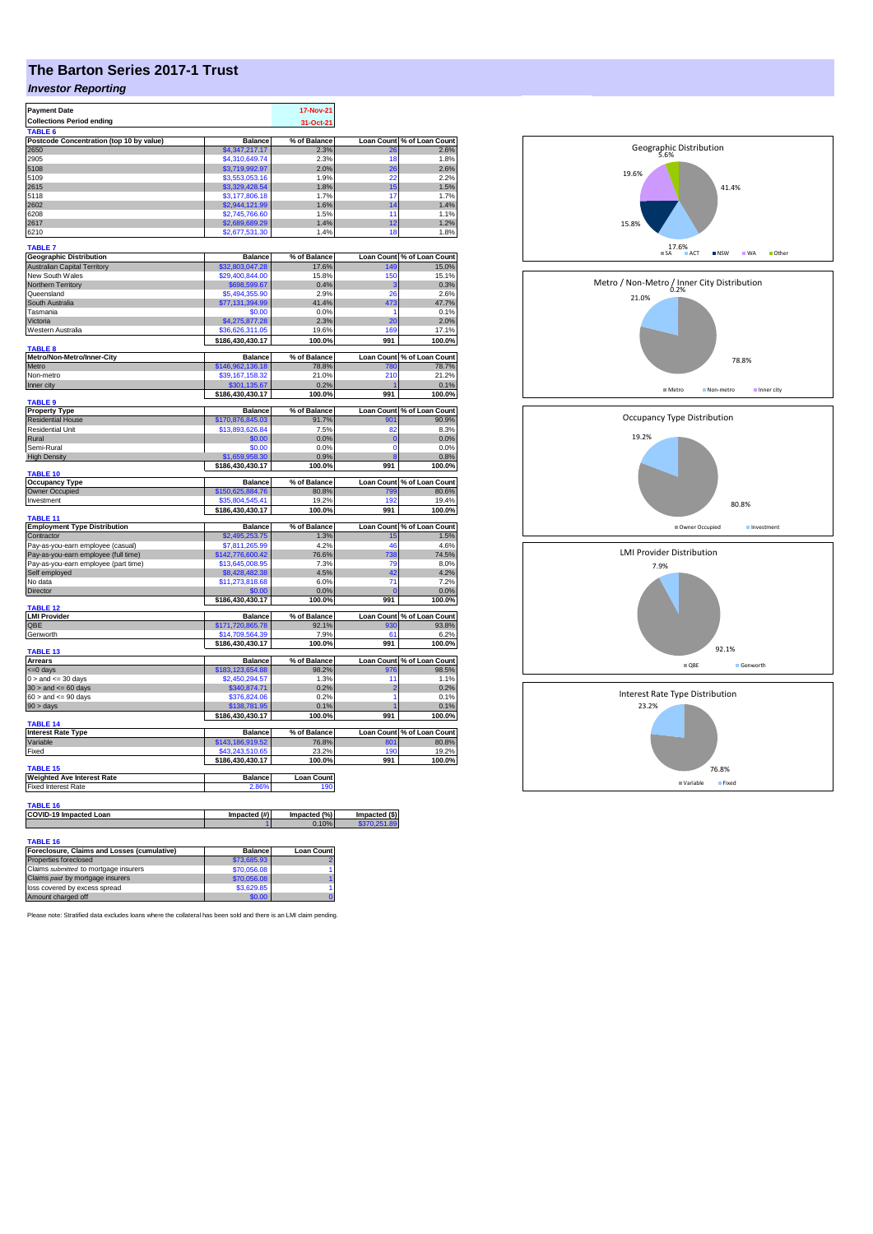# **The Barton Series 2017-1 Trust**

## *Investor Reporting*

| <b>Payment Date</b>                              |                                     | 17-Nov-21         |                   |                                                                                                                                                                                                                                                                                                         |
|--------------------------------------------------|-------------------------------------|-------------------|-------------------|---------------------------------------------------------------------------------------------------------------------------------------------------------------------------------------------------------------------------------------------------------------------------------------------------------|
| <b>Collections Period ending</b>                 |                                     | 31-Oct-21         |                   |                                                                                                                                                                                                                                                                                                         |
| TABLE 6                                          |                                     |                   |                   |                                                                                                                                                                                                                                                                                                         |
| Postcode Concentration (top 10 by value)         | <b>Balance</b>                      | % of Balance      | <b>Loan Count</b> | % of Loan Count                                                                                                                                                                                                                                                                                         |
| 2650                                             | \$4,347,217.17                      | 2.3%              | 26                | 2.6%                                                                                                                                                                                                                                                                                                    |
| 2905                                             | \$4,310,649.74                      | 2.3%              | 18                | 1.8%                                                                                                                                                                                                                                                                                                    |
| 5108                                             | \$3,719,992.97                      | 2.0%              | 26                | 2.6%                                                                                                                                                                                                                                                                                                    |
| 5109                                             | \$3,553,053.16                      | 1.9%              | 22                | 2.2%                                                                                                                                                                                                                                                                                                    |
| 2615                                             | \$3,329,428.54                      | 1.8%              | 15                | 1.5%                                                                                                                                                                                                                                                                                                    |
| 5118                                             | \$3,177,806.18                      | 1.7%              | 17                | 1.7%                                                                                                                                                                                                                                                                                                    |
| 2602                                             | \$2,944,121.99                      | 1.6%              | 14                | 1.4%                                                                                                                                                                                                                                                                                                    |
| 6208                                             | \$2,745,766.60                      | 1.5%              | 11                | 1.1%                                                                                                                                                                                                                                                                                                    |
| 2617                                             | \$2,689,689.29                      | 1.4%              | 12                | 1.2%                                                                                                                                                                                                                                                                                                    |
| 6210                                             | \$2,677,531.30                      | 1.4%              | 18                | 1.8%                                                                                                                                                                                                                                                                                                    |
| <b>TABLE 7</b>                                   |                                     |                   |                   |                                                                                                                                                                                                                                                                                                         |
| <b>Geographic Distribution</b>                   | <b>Balance</b>                      | % of Balance      |                   | Loan Count % of Loan Count                                                                                                                                                                                                                                                                              |
| <b>Australian Capital Territory</b>              | \$32,803,047.28                     | 17.6%             | 149               | 15.0%                                                                                                                                                                                                                                                                                                   |
| New South Wales                                  | \$29,400,844.00                     | 15.8%             | 150               | 15.1%                                                                                                                                                                                                                                                                                                   |
| Northern Territory                               | \$698,599.67                        | 0.4%              | 3                 | 0.3%                                                                                                                                                                                                                                                                                                    |
| Queensland                                       | \$5,494,355.90                      | 2.9%              | 26                | 2.6%                                                                                                                                                                                                                                                                                                    |
| South Australia                                  | \$77,131,394.99                     | 41.4%             | 473               | 47.7%                                                                                                                                                                                                                                                                                                   |
| Tasmania                                         | \$0.00                              | 0.0%              | 1                 | 0.1%                                                                                                                                                                                                                                                                                                    |
| Victoria                                         | \$4,275,877.28                      | 2.3%              | 20                | 2.0%                                                                                                                                                                                                                                                                                                    |
| Western Australia                                | \$36,626,311.05                     | 19.6%             | 169               | 17.1%                                                                                                                                                                                                                                                                                                   |
|                                                  | \$186,430,430.17                    | 100.0%            | 991               | 100.0%                                                                                                                                                                                                                                                                                                  |
| TABLE <sub>8</sub><br>Metro/Non-Metro/Inner-City | <b>Balance</b>                      | % of Balance      | <b>Loan Count</b> | % of Loan Count                                                                                                                                                                                                                                                                                         |
| Metro                                            | \$146,962,136.18                    | 78.8%             | 780               | 78.7%                                                                                                                                                                                                                                                                                                   |
| Non-metro                                        | \$39,167,158.32                     | 21.0%             | 210               | 21.2%                                                                                                                                                                                                                                                                                                   |
| Inner city                                       | \$301,135.67                        | 0.2%              |                   | 0.1%                                                                                                                                                                                                                                                                                                    |
|                                                  | \$186,430,430.17                    | 100.0%            | 991               | 100.0%                                                                                                                                                                                                                                                                                                  |
| <b>TABLE 9</b>                                   |                                     |                   |                   |                                                                                                                                                                                                                                                                                                         |
| <b>Property Type</b>                             | <b>Balance</b>                      | % of Balance      |                   | Loan Count % of Loan Count                                                                                                                                                                                                                                                                              |
| <b>Residential House</b>                         | \$170.876.845.03                    | 91.7%             | 901               | 90.9%                                                                                                                                                                                                                                                                                                   |
| <b>Residential Unit</b>                          | \$13,893,626.84                     | 7.5%              | 82                | 8.3%                                                                                                                                                                                                                                                                                                    |
| Rural                                            | \$0.00                              | 0.0%              | $\overline{0}$    | 0.0%                                                                                                                                                                                                                                                                                                    |
| Semi-Rural                                       | \$0.00                              | 0.0%              | $\mathbf 0$       | 0.0%                                                                                                                                                                                                                                                                                                    |
| <b>High Density</b>                              | \$1,659,958.30                      | 0.9%              |                   | 0.8%                                                                                                                                                                                                                                                                                                    |
| TABLE 10                                         | \$186,430,430.17                    | 100.0%            | 991               | 100.0%                                                                                                                                                                                                                                                                                                  |
| <b>Occupancy Type</b>                            | <b>Balance</b>                      | % of Balance      |                   | Loan Count % of Loan Count                                                                                                                                                                                                                                                                              |
|                                                  |                                     |                   |                   |                                                                                                                                                                                                                                                                                                         |
|                                                  |                                     | 80.8%             |                   |                                                                                                                                                                                                                                                                                                         |
| Owner Occupied<br>Investment                     | \$150,625,884.76<br>\$35,804,545.41 | 19.2%             | 799<br>192        |                                                                                                                                                                                                                                                                                                         |
|                                                  | \$186,430,430.17                    | 100.0%            | 991               |                                                                                                                                                                                                                                                                                                         |
| TABLE 11                                         |                                     |                   |                   |                                                                                                                                                                                                                                                                                                         |
| <b>Employment Type Distribution</b>              | <b>Balance</b>                      | % of Balance      |                   |                                                                                                                                                                                                                                                                                                         |
| Contractor                                       | \$2,495,253.75                      | 1.3%              | 15                |                                                                                                                                                                                                                                                                                                         |
| Pay-as-you-earn employee (casual)                | \$7,811,265.99                      | 4.2%              | 46                |                                                                                                                                                                                                                                                                                                         |
| Pay-as-you-earn employee (full time)             | \$142,776,600.42                    | 76.6%             | 738               |                                                                                                                                                                                                                                                                                                         |
| Pay-as-you-earn employee (part time)             | \$13,645,008.95                     | 7.3%              | 79                |                                                                                                                                                                                                                                                                                                         |
| Self employed                                    | \$8,428,482.38                      | 4.5%              | 42                |                                                                                                                                                                                                                                                                                                         |
| No data                                          | \$11,273,818.68                     | 6.0%              | 71                |                                                                                                                                                                                                                                                                                                         |
| <b>Director</b>                                  | \$0.00                              | 0.0%              | $\Omega$          |                                                                                                                                                                                                                                                                                                         |
| <b>TABLE 12</b>                                  | \$186,430,430.17                    | 100.0%            | 991               |                                                                                                                                                                                                                                                                                                         |
| <b>LMI Provider</b>                              | <b>Balance</b>                      | % of Balance      | <b>Loan Count</b> |                                                                                                                                                                                                                                                                                                         |
| QBE                                              | \$171,720,865.78                    | 92.1%             | 930               |                                                                                                                                                                                                                                                                                                         |
| Genworth                                         | \$14,709,564.39                     | 7.9%              | 61                |                                                                                                                                                                                                                                                                                                         |
|                                                  | \$186,430,430.17                    | 100.0%            | 991               |                                                                                                                                                                                                                                                                                                         |
| TABLE 13                                         |                                     |                   |                   |                                                                                                                                                                                                                                                                                                         |
| <b>Arrears</b>                                   | <b>Balance</b>                      | % of Balance      | <b>Loan Count</b> |                                                                                                                                                                                                                                                                                                         |
| <= 0 days                                        | \$183.123.654.88                    | 98.2%             | 976               |                                                                                                                                                                                                                                                                                                         |
| $0 >$ and $\leq 30$ days                         | \$2,450,294.57                      | 1.3%              | 11                |                                                                                                                                                                                                                                                                                                         |
| $30 >$ and $\leq 60$ days                        | \$340,874.71                        | 0.2%              | $\overline{2}$    |                                                                                                                                                                                                                                                                                                         |
| $60 >$ and $\leq 90$ days                        | \$376,824.06                        | 0.2%              | 1                 |                                                                                                                                                                                                                                                                                                         |
| $90 > \text{days}$                               | \$138,781.95                        | 0.1%              |                   |                                                                                                                                                                                                                                                                                                         |
| TABLE 14                                         | \$186,430,430.17                    | 100.0%            | 991               |                                                                                                                                                                                                                                                                                                         |
| <b>Interest Rate Type</b>                        | <b>Balance</b>                      | % of Balance      |                   |                                                                                                                                                                                                                                                                                                         |
| Variable                                         | \$143,186,919.52                    | 76.8%             | 801               |                                                                                                                                                                                                                                                                                                         |
| Fixed                                            | \$43,243,510.65                     | 23.2%             | 190               |                                                                                                                                                                                                                                                                                                         |
|                                                  | \$186,430,430.17                    | 100.0%            | 991               |                                                                                                                                                                                                                                                                                                         |
| <b>TABLE 15</b>                                  |                                     |                   |                   |                                                                                                                                                                                                                                                                                                         |
| <b>Weighted Ave Interest Rate</b>                | <b>Balance</b>                      | <b>Loan Count</b> |                   | 80.6%<br>19.4%<br>100.0%<br>Loan Count % of Loan Count<br>1.5%<br>4.6%<br>74.5%<br>8.0%<br>4.2%<br>7.2%<br>0.0%<br>100.0%<br>% of Loan Count<br>93.8%<br>6.2%<br>100.0%<br>% of Loan Count<br>98.5%<br>1.1%<br>0.2%<br>0.1%<br>0.1%<br>100.0%<br>Loan Count % of Loan Count<br>80.8%<br>19.2%<br>100.0% |
| <b>Fixed Interest Rate</b>                       | 2.869                               | 190               |                   |                                                                                                                                                                                                                                                                                                         |
|                                                  |                                     |                   |                   |                                                                                                                                                                                                                                                                                                         |
| <b>TABLE 16</b>                                  |                                     |                   |                   |                                                                                                                                                                                                                                                                                                         |
| COVID-19 Impacted Loan                           | Impacted (#)                        | Impacted (%)      | Impacted (\$)     |                                                                                                                                                                                                                                                                                                         |
|                                                  |                                     | 0.10%             | \$370,251.89      |                                                                                                                                                                                                                                                                                                         |
| <b>TABLE 16</b>                                  |                                     |                   |                   |                                                                                                                                                                                                                                                                                                         |

| Foreclosure, Claims and Losses (cumulative) | <b>Balance</b> | <b>Loan Count</b> |
|---------------------------------------------|----------------|-------------------|
| Properties foreclosed                       | \$73,685.93    |                   |
| Claims submitted to mortgage insurers       | \$70,056.08    |                   |
| Claims paid by mortgage insurers            | \$70,056,08    |                   |
| loss covered by excess spread               | \$3,629.85     |                   |
| Amount charged off                          | \$0.00         |                   |

Please note: Stratified data excludes loans where the collateral has been sold and there is an LMI claim pending.